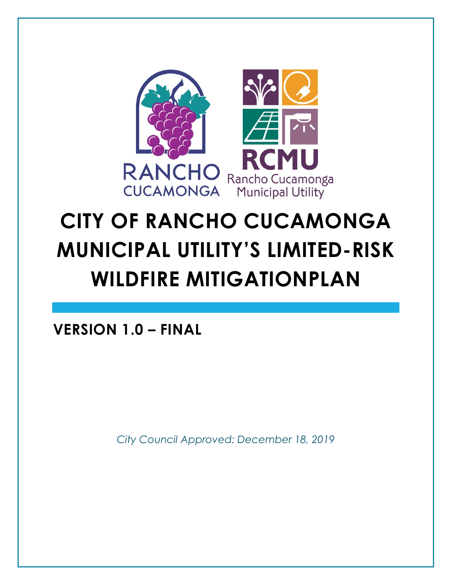

# **CITY OF RANCHO CUCAMONGA MUNICIPAL UTILITY'S LIMITED-RISK WILDFIRE MITIGATIONPLAN**

**VERSION 1.0 – FINAL** 

*City Council Approved: December 18, 2019*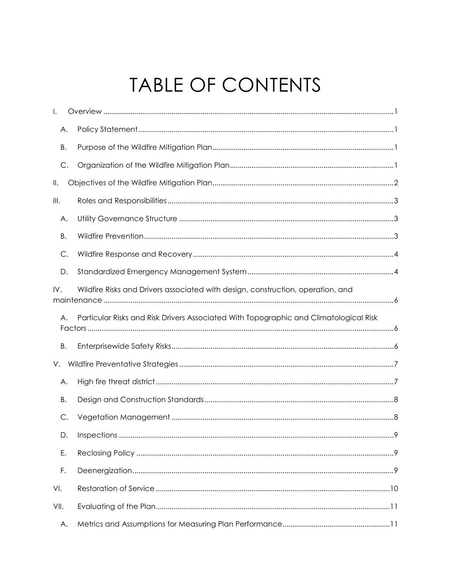## TABLE OF CONTENTS

| I.        |                                                                                       |  |
|-----------|---------------------------------------------------------------------------------------|--|
| А.        |                                                                                       |  |
| Β.        |                                                                                       |  |
| C.        |                                                                                       |  |
| Ⅱ.        |                                                                                       |  |
| III.      |                                                                                       |  |
| Α.        |                                                                                       |  |
| Β.        |                                                                                       |  |
| C.        |                                                                                       |  |
| D.        |                                                                                       |  |
| IV.       | Wildfire Risks and Drivers associated with design, construction, operation, and       |  |
| Α.        | Particular Risks and Risk Drivers Associated With Topographic and Climatological Risk |  |
| <b>B.</b> |                                                                                       |  |
| V.        |                                                                                       |  |
| Α.        |                                                                                       |  |
| Β.        |                                                                                       |  |
| C.        |                                                                                       |  |
| D.        |                                                                                       |  |
| Ε.        |                                                                                       |  |
| F.        |                                                                                       |  |
| VI.       |                                                                                       |  |
| VII.      |                                                                                       |  |
| Α.        |                                                                                       |  |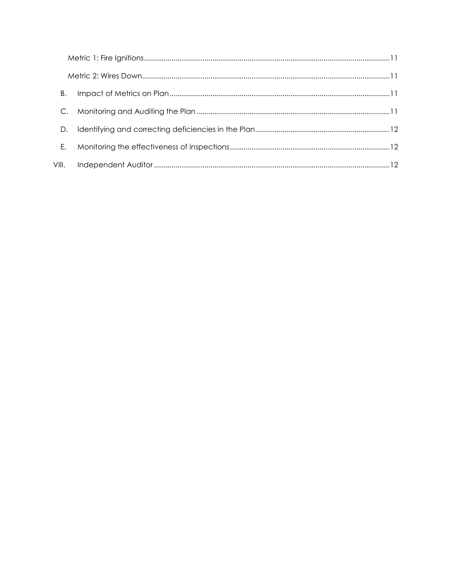| Β.    |  |
|-------|--|
|       |  |
| D     |  |
| Е.    |  |
| VIII. |  |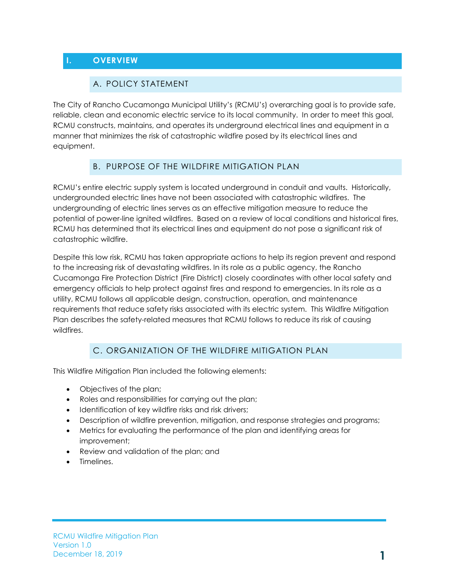#### <span id="page-3-1"></span><span id="page-3-0"></span>**I. OVERVIEW**

#### A. POLICY STATEMENT

The City of Rancho Cucamonga Municipal Utility's (RCMU's) overarching goal is to provide safe, reliable, clean and economic electric service to its local community. In order to meet this goal, RCMU constructs, maintains, and operates its underground electrical lines and equipment in a manner that minimizes the risk of catastrophic wildfire posed by its electrical lines and equipment.

#### B. PURPOSE OF THE WILDFIRE MITIGATION PLAN

<span id="page-3-2"></span>RCMU's entire electric supply system is located underground in conduit and vaults. Historically, undergrounded electric lines have not been associated with catastrophic wildfires. The undergrounding of electric lines serves as an effective mitigation measure to reduce the potential of power-line ignited wildfires. Based on a review of local conditions and historical fires, RCMU has determined that its electrical lines and equipment do not pose a significant risk of catastrophic wildfire.

Despite this low risk, RCMU has taken appropriate actions to help its region prevent and respond to the increasing risk of devastating wildfires. In its role as a public agency, the Rancho Cucamonga Fire Protection District (Fire District) closely coordinates with other local safety and emergency officials to help protect against fires and respond to emergencies. In its role as a utility, RCMU follows all applicable design, construction, operation, and maintenance requirements that reduce safety risks associated with its electric system. This Wildfire Mitigation Plan describes the safety-related measures that RCMU follows to reduce its risk of causing wildfires.

#### C. ORGANIZATION OF THE WILDFIRE MITIGATION PLAN

<span id="page-3-3"></span>This Wildfire Mitigation Plan included the following elements:

- Objectives of the plan;
- Roles and responsibilities for carrying out the plan;
- Identification of key wildfire risks and risk drivers;
- Description of wildfire prevention, mitigation, and response strategies and programs;
- Metrics for evaluating the performance of the plan and identifying areas for improvement;
- Review and validation of the plan; and
- Timelines.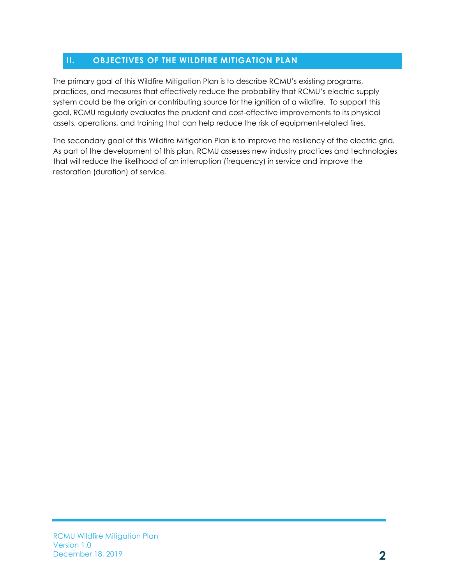#### <span id="page-4-0"></span>**II. OBJECTIVES OF THE WILDFIRE MITIGATION PLAN**

The primary goal of this Wildfire Mitigation Plan is to describe RCMU's existing programs, practices, and measures that effectively reduce the probability that RCMU's electric supply system could be the origin or contributing source for the ignition of a wildfire. To support this goal, RCMU regularly evaluates the prudent and cost-effective improvements to its physical assets, operations, and training that can help reduce the risk of equipment-related fires.

The secondary goal of this Wildfire Mitigation Plan is to improve the resiliency of the electric grid. As part of the development of this plan, RCMU assesses new industry practices and technologies that will reduce the likelihood of an interruption (frequency) in service and improve the restoration (duration) of service.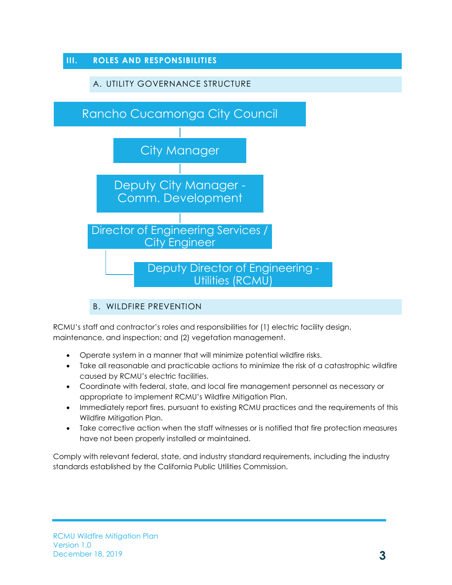<span id="page-5-1"></span><span id="page-5-0"></span>

B. WILDFIRE PREVENTION

<span id="page-5-2"></span>RCMU's staff and contractor's roles and responsibilities for (1) electric facility design, maintenance, and inspection; and (2) vegetation management.

- Operate system in a manner that will minimize potential wildfire risks.
- Take all reasonable and practicable actions to minimize the risk of a catastrophic wildfire caused by RCMU's electric facilities.
- Coordinate with federal, state, and local fire management personnel as necessary or appropriate to implement RCMU's Wildfire Mitigation Plan.
- Immediately report fires, pursuant to existing RCMU practices and the requirements of this Wildfire Mitigation Plan.
- Take corrective action when the staff witnesses or is notified that fire protection measures have not been properly installed or maintained.

Comply with relevant federal, state, and industry standard requirements, including the industry standards established by the California Public Utilities Commission.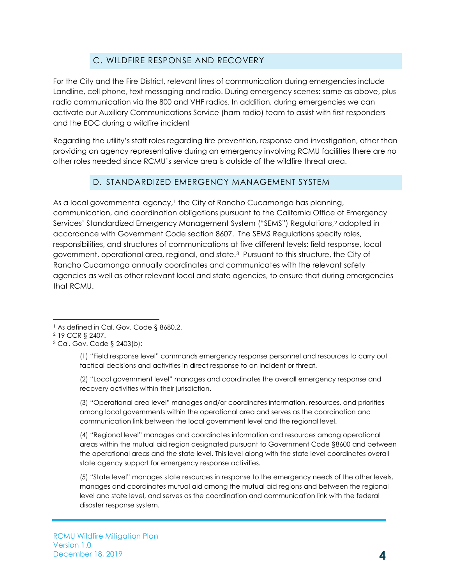#### C. WILDFIRE RESPONSE AND RECOVERY

<span id="page-6-0"></span>For the City and the Fire District, relevant lines of communication during emergencies include Landline, cell phone, text messaging and radio. During emergency scenes: same as above, plus radio communication via the 800 and VHF radios. In addition, during emergencies we can activate our Auxiliary Communications Service (ham radio) team to assist with first responders and the EOC during a wildfire incident

Regarding the utility's staff roles regarding fire prevention, response and investigation, other than providing an agency representative during an emergency involving RCMU facilities there are no other roles needed since RCMU's service area is outside of the wildfire threat area.

#### D. STANDARDIZED EMERGENCY MANAGEMENT SYSTEM

<span id="page-6-1"></span>As a local governmental agency,<sup>[1](#page-6-2)</sup> the City of Rancho Cucamonga has planning, communication, and coordination obligations pursuant to the California Office of Emergency Services' Standardized Emergency Management System ("SEMS") Regulations,[2](#page-6-3) adopted in accordance with Government Code section 8607. The SEMS Regulations specify roles, responsibilities, and structures of communications at five different levels: field response, local government, operational area, regional, and state.[3](#page-6-4) Pursuant to this structure, the City of Rancho Cucamonga annually coordinates and communicates with the relevant safety agencies as well as other relevant local and state agencies, to ensure that during emergencies that RCMU.

(1) "Field response level" commands emergency response personnel and resources to carry out tactical decisions and activities in direct response to an incident or threat.

(2) "Local government level" manages and coordinates the overall emergency response and recovery activities within their jurisdiction.

(3) "Operational area level" manages and/or coordinates information, resources, and priorities among local governments within the operational area and serves as the coordination and communication link between the local government level and the regional level.

(4) "Regional level" manages and coordinates information and resources among operational areas within the mutual aid region designated pursuant to Government Code §8600 and between the operational areas and the state level. This level along with the state level coordinates overall state agency support for emergency response activities.

(5) "State level" manages state resources in response to the emergency needs of the other levels, manages and coordinates mutual aid among the mutual aid regions and between the regional level and state level, and serves as the coordination and communication link with the federal disaster response system.

<span id="page-6-2"></span><sup>&</sup>lt;sup>1</sup> As defined in Cal. Gov. Code § 8680.2.

<span id="page-6-3"></span><sup>2</sup> 19 CCR § 2407.

<span id="page-6-4"></span><sup>3</sup> Cal. Gov. Code § 2403(b):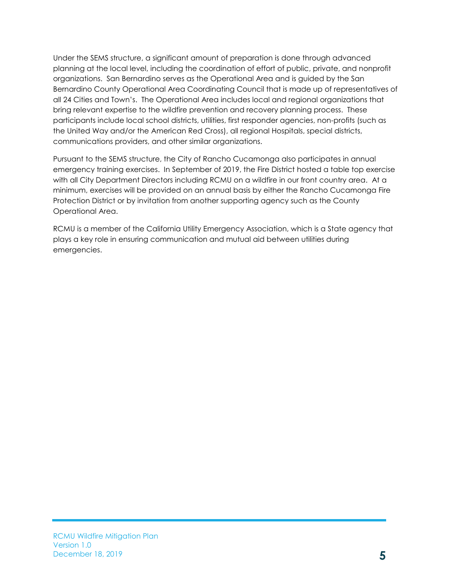Under the SEMS structure, a significant amount of preparation is done through advanced planning at the local level, including the coordination of effort of public, private, and nonprofit organizations. San Bernardino serves as the Operational Area and is guided by the San Bernardino County Operational Area Coordinating Council that is made up of representatives of all 24 Cities and Town's. The Operational Area includes local and regional organizations that bring relevant expertise to the wildfire prevention and recovery planning process. These participants include local school districts, utilities, first responder agencies, non-profits (such as the United Way and/or the American Red Cross), all regional Hospitals, special districts, communications providers, and other similar organizations.

Pursuant to the SEMS structure, the City of Rancho Cucamonga also participates in annual emergency training exercises. In September of 2019, the Fire District hosted a table top exercise with all City Department Directors including RCMU on a wildfire in our front country area. At a minimum, exercises will be provided on an annual basis by either the Rancho Cucamonga Fire Protection District or by invitation from another supporting agency such as the County Operational Area.

RCMU is a member of the California Utility Emergency Association, which is a State agency that plays a key role in ensuring communication and mutual aid between utilities during emergencies.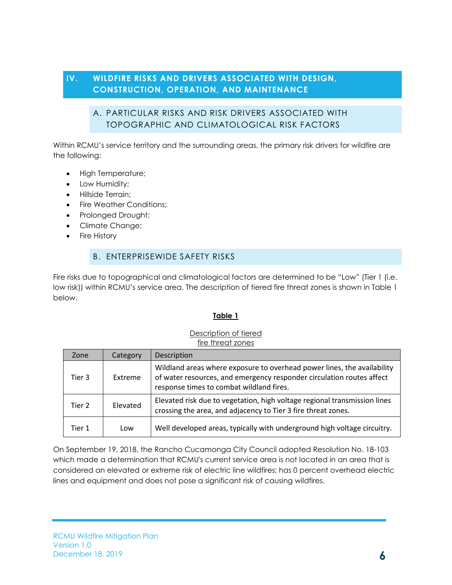#### <span id="page-8-1"></span><span id="page-8-0"></span>**IV. WILDFIRE RISKS AND DRIVERS ASSOCIATED WITH DESIGN, CONSTRUCTION, OPERATION, AND MAINTENANCE**

#### A. PARTICULAR RISKS AND RISK DRIVERS ASSOCIATED WITH TOPOGRAPHIC AND CLIMATOLOGICAL RISK FACTORS

Within RCMU's service territory and the surrounding areas, the primary risk drivers for wildfire are the following:

- High Temperature;
- Low Humidity;
- Hillside Terrain;
- Fire Weather Conditions:
- Prolonged Drought;
- Climate Change;
- <span id="page-8-2"></span>• Fire History

#### B. ENTERPRISEWIDE SAFETY RISKS

Fire risks due to topographical and climatological factors are determined to be "Low" (Tier 1 (i.e. low risk)) within RCMU's service area. The description of tiered fire threat zones is shown in Table 1 below.

#### **Table 1**

#### Description of tiered fire threat zones

| Zone   | Category | Description                                                                                                                                                                                  |
|--------|----------|----------------------------------------------------------------------------------------------------------------------------------------------------------------------------------------------|
| Tier 3 | Extreme  | Wildland areas where exposure to overhead power lines, the availability<br>of water resources, and emergency responder circulation routes affect<br>response times to combat wildland fires. |
| Tier 2 | Elevated | Elevated risk due to vegetation, high voltage regional transmission lines<br>crossing the area, and adjacency to Tier 3 fire threat zones.                                                   |
| Tier 1 | Low      | Well developed areas, typically with underground high voltage circuitry.                                                                                                                     |

On September 19, 2018, the Rancho Cucamonga City Council adopted Resolution No. 18-103 which made a determination that RCMU's current service area is not located in an area that is considered an elevated or extreme risk of electric line wildfires; has 0 percent overhead electric lines and equipment and does not pose a significant risk of causing wildfires.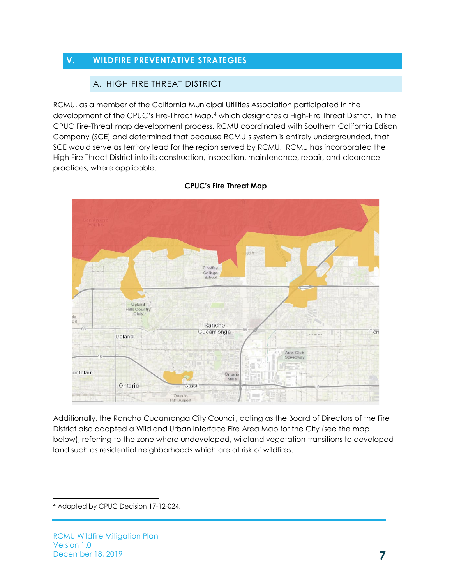#### <span id="page-9-1"></span><span id="page-9-0"></span>**V. WILDFIRE PREVENTATIVE STRATEGIES**

#### A. HIGH FIRE THREAT DISTRICT

RCMU, as a member of the California Municipal Utilities Association participated in the development of the CPUC's Fire-Threat Map,[4](#page-9-2) which designates a High-Fire Threat District. In the CPUC Fire-Threat map development process, RCMU coordinated with Southern California Edison Company (SCE) and determined that because RCMU's system is entirely undergrounded, that SCE would serve as territory lead for the region served by RCMU. RCMU has incorporated the High Fire Threat District into its construction, inspection, maintenance, repair, and clearance practices, where applicable.



#### **CPUC's Fire Threat Map**

Additionally, the Rancho Cucamonga City Council, acting as the Board of Directors of the Fire District also adopted a Wildland Urban Interface Fire Area Map for the City (see the map below), referring to the zone where undeveloped, wildland vegetation transitions to developed land such as residential neighborhoods which are at risk of wildfires.

<span id="page-9-2"></span> <sup>4</sup> Adopted by CPUC Decision 17-12-024.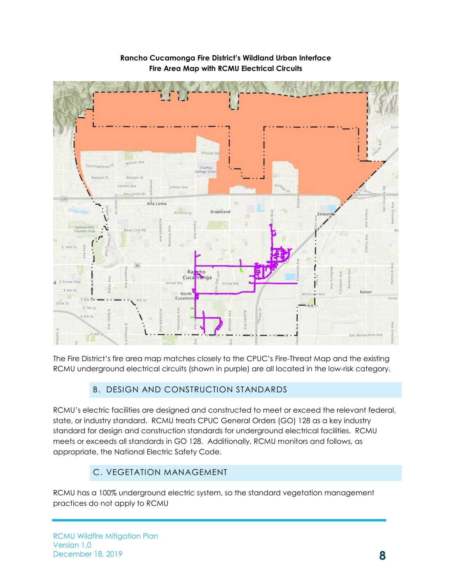

#### **Rancho Cucamonga Fire District's Wildland Urban Interface Fire Area Map with RCMU Electrical Circuits**

The Fire District's fire area map matches closely to the CPUC's Fire-Threat Map and the existing RCMU underground electrical circuits (shown in purple) are all located in the low-risk category.

#### B. DESIGN AND CONSTRUCTION STANDARDS

<span id="page-10-0"></span>RCMU's electric facilities are designed and constructed to meet or exceed the relevant federal, state, or industry standard. RCMU treats CPUC General Orders (GO) 128 as a key industry standard for design and construction standards for underground electrical facilities. RCMU meets or exceeds all standards in GO 128. Additionally, RCMU monitors and follows, as appropriate, the National Electric Safety Code.

#### C. VEGETATION MANAGEMENT

<span id="page-10-1"></span>RCMU has a 100% underground electric system, so the standard vegetation management practices do not apply to RCMU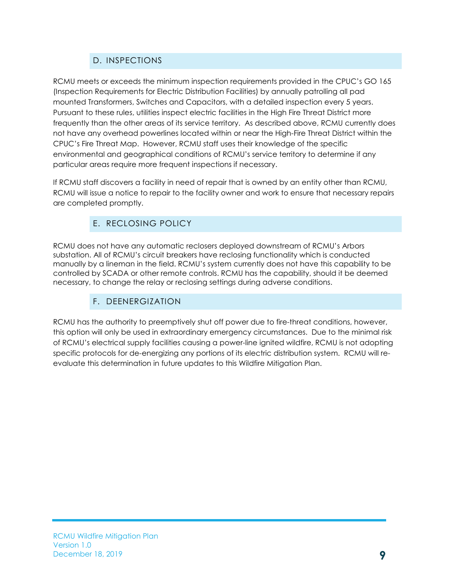#### D. INSPECTIONS

<span id="page-11-0"></span>RCMU meets or exceeds the minimum inspection requirements provided in the CPUC's GO 165 (Inspection Requirements for Electric Distribution Facilities) by annually patrolling all pad mounted Transformers, Switches and Capacitors, with a detailed inspection every 5 years. Pursuant to these rules, utilities inspect electric facilities in the High Fire Threat District more frequently than the other areas of its service territory. As described above, RCMU currently does not have any overhead powerlines located within or near the High-Fire Threat District within the CPUC's Fire Threat Map. However, RCMU staff uses their knowledge of the specific environmental and geographical conditions of RCMU's service territory to determine if any particular areas require more frequent inspections if necessary.

If RCMU staff discovers a facility in need of repair that is owned by an entity other than RCMU, RCMU will issue a notice to repair to the facility owner and work to ensure that necessary repairs are completed promptly.

#### E. RECLOSING POLICY

<span id="page-11-1"></span>RCMU does not have any automatic reclosers deployed downstream of RCMU's Arbors substation. All of RCMU's circuit breakers have reclosing functionality which is conducted manually by a lineman in the field. RCMU's system currently does not have this capability to be controlled by SCADA or other remote controls. RCMU has the capability, should it be deemed necessary, to change the relay or reclosing settings during adverse conditions.

#### F. DEENERGIZATION

<span id="page-11-2"></span>RCMU has the authority to preemptively shut off power due to fire-threat conditions, however, this option will only be used in extraordinary emergency circumstances. Due to the minimal risk of RCMU's electrical supply facilities causing a power-line ignited wildfire, RCMU is not adopting specific protocols for de-energizing any portions of its electric distribution system. RCMU will reevaluate this determination in future updates to this Wildfire Mitigation Plan.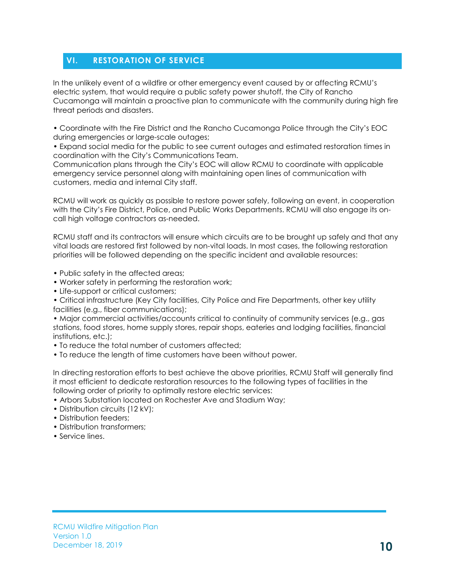#### <span id="page-12-0"></span>**VI. RESTORATION OF SERVICE**

In the unlikely event of a wildfire or other emergency event caused by or affecting RCMU's electric system, that would require a public safety power shutoff, the City of Rancho Cucamonga will maintain a proactive plan to communicate with the community during high fire threat periods and disasters.

• Coordinate with the Fire District and the Rancho Cucamonga Police through the City's EOC during emergencies or large-scale outages;

• Expand social media for the public to see current outages and estimated restoration times in coordination with the City's Communications Team.

Communication plans through the City's EOC will allow RCMU to coordinate with applicable emergency service personnel along with maintaining open lines of communication with customers, media and internal City staff.

RCMU will work as quickly as possible to restore power safely, following an event, in cooperation with the City's Fire District, Police, and Public Works Departments. RCMU will also engage its oncall high voltage contractors as-needed.

RCMU staff and its contractors will ensure which circuits are to be brought up safely and that any vital loads are restored first followed by non-vital loads. In most cases, the following restoration priorities will be followed depending on the specific incident and available resources:

- Public safety in the affected areas;
- Worker safety in performing the restoration work;
- Life-support or critical customers;

• Critical infrastructure (Key City facilities, City Police and Fire Departments, other key utility facilities (e.g., fiber communications);

• Major commercial activities/accounts critical to continuity of community services (e.g., gas stations, food stores, home supply stores, repair shops, eateries and lodging facilities, financial institutions, etc.);

- To reduce the total number of customers affected;
- To reduce the length of time customers have been without power.

In directing restoration efforts to best achieve the above priorities, RCMU Staff will generally find it most efficient to dedicate restoration resources to the following types of facilities in the following order of priority to optimally restore electric services:

- Arbors Substation located on Rochester Ave and Stadium Way;
- Distribution circuits (12 kV);
- Distribution feeders:
- Distribution transformers;
- Service lines.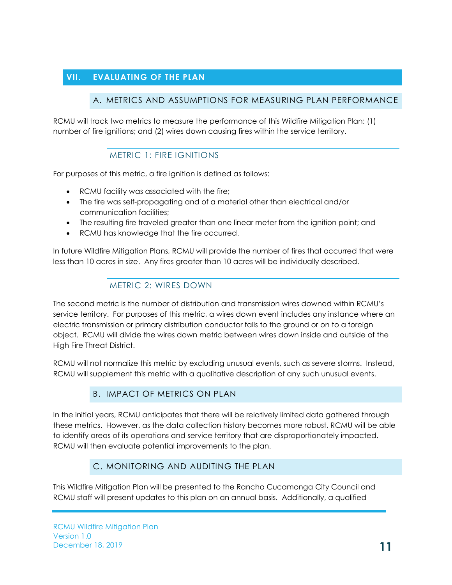#### <span id="page-13-1"></span><span id="page-13-0"></span>**VII. EVALUATING OF THE PLAN**

#### A. METRICS AND ASSUMPTIONS FOR MEASURING PLAN PERFORMANCE

RCMU will track two metrics to measure the performance of this Wildfire Mitigation Plan: (1) number of fire ignitions; and (2) wires down causing fires within the service territory.

#### METRIC 1: FIRE IGNITIONS

<span id="page-13-2"></span>For purposes of this metric, a fire ignition is defined as follows:

- RCMU facility was associated with the fire;
- The fire was self-propagating and of a material other than electrical and/or communication facilities;
- The resulting fire traveled greater than one linear meter from the ignition point; and
- RCMU has knowledge that the fire occurred.

In future Wildfire Mitigation Plans, RCMU will provide the number of fires that occurred that were less than 10 acres in size. Any fires greater than 10 acres will be individually described.

#### METRIC 2: WIRES DOWN

<span id="page-13-3"></span>The second metric is the number of distribution and transmission wires downed within RCMU's service territory. For purposes of this metric, a wires down event includes any instance where an electric transmission or primary distribution conductor falls to the ground or on to a foreign object. RCMU will divide the wires down metric between wires down inside and outside of the High Fire Threat District.

RCMU will not normalize this metric by excluding unusual events, such as severe storms. Instead, RCMU will supplement this metric with a qualitative description of any such unusual events.

#### B. IMPACT OF METRICS ON PLAN

<span id="page-13-4"></span>In the initial years, RCMU anticipates that there will be relatively limited data gathered through these metrics. However, as the data collection history becomes more robust, RCMU will be able to identify areas of its operations and service territory that are disproportionately impacted. RCMU will then evaluate potential improvements to the plan.

#### C. MONITORING AND AUDITING THE PLAN

<span id="page-13-5"></span>This Wildfire Mitigation Plan will be presented to the Rancho Cucamonga City Council and RCMU staff will present updates to this plan on an annual basis. Additionally, a qualified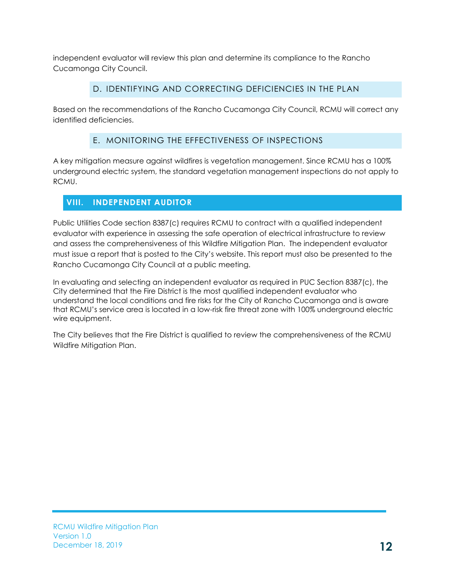independent evaluator will review this plan and determine its compliance to the Rancho Cucamonga City Council.

#### D. IDENTIFYING AND CORRECTING DEFICIENCIES IN THE PLAN

<span id="page-14-0"></span>Based on the recommendations of the Rancho Cucamonga City Council, RCMU will correct any identified deficiencies.

#### E. MONITORING THE EFFECTIVENESS OF INSPECTIONS

<span id="page-14-1"></span>A key mitigation measure against wildfires is vegetation management. Since RCMU has a 100% underground electric system, the standard vegetation management inspections do not apply to RCMU.

#### <span id="page-14-2"></span>**VIII. INDEPENDENT AUDITOR**

Public Utilities Code section 8387(c) requires RCMU to contract with a qualified independent evaluator with experience in assessing the safe operation of electrical infrastructure to review and assess the comprehensiveness of this Wildfire Mitigation Plan. The independent evaluator must issue a report that is posted to the City's website. This report must also be presented to the Rancho Cucamonga City Council at a public meeting.

In evaluating and selecting an independent evaluator as required in PUC Section 8387(c), the City determined that the Fire District is the most qualified independent evaluator who understand the local conditions and fire risks for the City of Rancho Cucamonga and is aware that RCMU's service area is located in a low-risk fire threat zone with 100% underground electric wire equipment.

The City believes that the Fire District is qualified to review the comprehensiveness of the RCMU Wildfire Mitigation Plan.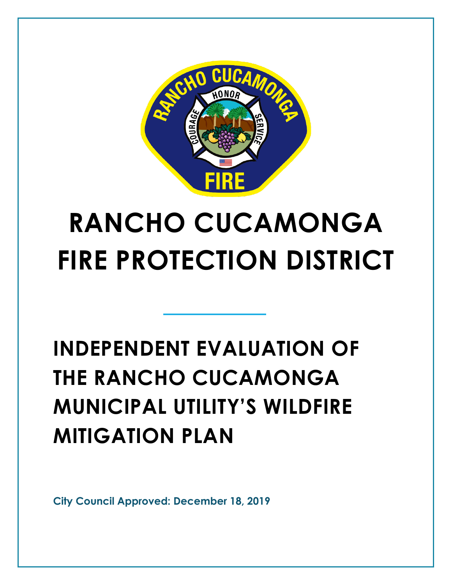

# **RANCHO CUCAMONGA FIRE PROTECTION DISTRICT**

# **INDEPENDENT EVALUATION OF THE RANCHO CUCAMONGA MUNICIPAL UTILITY'S WILDFIRE MITIGATION PLAN**

**City Council Approved: December 18, 2019**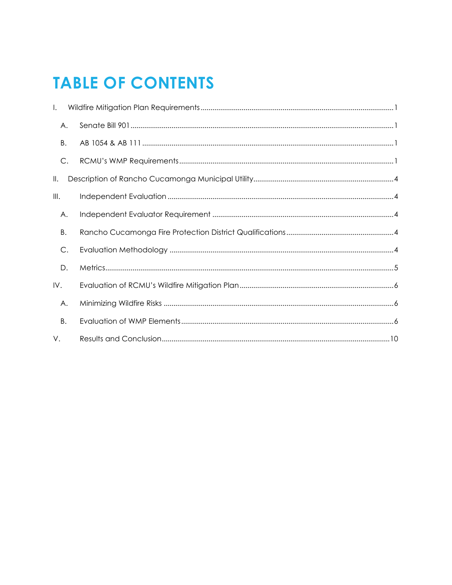### **TABLE OF CONTENTS**

| $\mathsf{L}$  |  |
|---------------|--|
| Α.            |  |
| В.            |  |
| C.            |  |
| Ⅱ.            |  |
| III.          |  |
| Α.            |  |
| B.            |  |
| $\mathsf{C}.$ |  |
| D.            |  |
| IV.           |  |
| Α.            |  |
| В.            |  |
| V.            |  |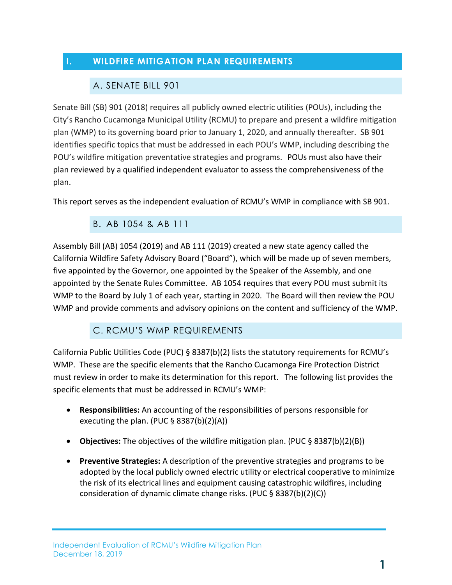#### <span id="page-17-1"></span><span id="page-17-0"></span>**I. WILDFIRE MITIGATION PLAN REQUIREMENTS**

#### A. SENATE BILL 901

Senate Bill (SB) 901 (2018) requires all publicly owned electric utilities (POUs), including the City's Rancho Cucamonga Municipal Utility (RCMU) to prepare and present a wildfire mitigation plan (WMP) to its governing board prior to January 1, 2020, and annually thereafter. SB 901 identifies specific topics that must be addressed in each POU's WMP, including describing the POU's wildfire mitigation preventative strategies and programs. POUs must also have their plan reviewed by a qualified independent evaluator to assess the comprehensiveness of the plan.

<span id="page-17-2"></span>This report serves as the independent evaluation of RCMU's WMP in compliance with SB 901.

#### B. AB 1054 & AB 111

Assembly Bill (AB) 1054 (2019) and AB 111 (2019) created a new state agency called the California Wildfire Safety Advisory Board ("Board"), which will be made up of seven members, five appointed by the Governor, one appointed by the Speaker of the Assembly, and one appointed by the Senate Rules Committee. AB 1054 requires that every POU must submit its WMP to the Board by July 1 of each year, starting in 2020. The Board will then review the POU WMP and provide comments and advisory opinions on the content and sufficiency of the WMP.

#### C. RCMU'S WMP REQUIREMENTS

<span id="page-17-3"></span>California Public Utilities Code (PUC) § 8387(b)(2) lists the statutory requirements for RCMU's WMP. These are the specific elements that the Rancho Cucamonga Fire Protection District must review in order to make its determination for this report. The following list provides the specific elements that must be addressed in RCMU's WMP:

- **Responsibilities:** An accounting of the responsibilities of persons responsible for executing the plan. (PUC  $\S$  8387(b)(2)(A))
- **Objectives:** The objectives of the wildfire mitigation plan. (PUC § 8387(b)(2)(B))
- **Preventive Strategies:** A description of the preventive strategies and programs to be adopted by the local publicly owned electric utility or electrical cooperative to minimize the risk of its electrical lines and equipment causing catastrophic wildfires, including consideration of dynamic climate change risks. (PUC § 8387(b)(2)(C))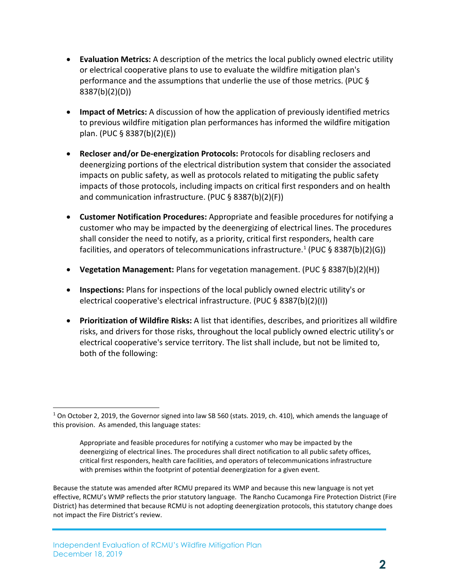- **Evaluation Metrics:** A description of the metrics the local publicly owned electric utility or electrical cooperative plans to use to evaluate the wildfire mitigation plan's performance and the assumptions that underlie the use of those metrics. (PUC § 8387(b)(2)(D))
- **Impact of Metrics:** A discussion of how the application of previously identified metrics to previous wildfire mitigation plan performances has informed the wildfire mitigation plan. (PUC § 8387(b)(2)(E))
- **Recloser and/or De-energization Protocols:** Protocols for disabling reclosers and deenergizing portions of the electrical distribution system that consider the associated impacts on public safety, as well as protocols related to mitigating the public safety impacts of those protocols, including impacts on critical first responders and on health and communication infrastructure. (PUC § 8387(b)(2)(F))
- **Customer Notification Procedures:** Appropriate and feasible procedures for notifying a customer who may be impacted by the deenergizing of electrical lines. The procedures shall consider the need to notify, as a priority, critical first responders, health care facilities, and operators of telecommunications infrastructure.<sup>1</sup> (PUC § 8387(b)(2)(G))
- **Vegetation Management:** Plans for vegetation management. (PUC § 8387(b)(2)(H))
- **Inspections:** Plans for inspections of the local publicly owned electric utility's or electrical cooperative's electrical infrastructure. (PUC § 8387(b)(2)(I))
- **Prioritization of Wildfire Risks:** A list that identifies, describes, and prioritizes all wildfire risks, and drivers for those risks, throughout the local publicly owned electric utility's or electrical cooperative's service territory. The list shall include, but not be limited to, both of the following:

Because the statute was amended after RCMU prepared its WMP and because this new language is not yet effective, RCMU's WMP reflects the prior statutory language. The Rancho Cucamonga Fire Protection District (Fire District) has determined that because RCMU is not adopting deenergization protocols, this statutory change does not impact the Fire District's review.

-

<span id="page-18-0"></span><sup>&</sup>lt;sup>1</sup> On October 2, 2019, the Governor signed into law SB 560 (stats. 2019, ch. 410), which amends the language of this provision. As amended, this language states:

Appropriate and feasible procedures for notifying a customer who may be impacted by the deenergizing of electrical lines. The procedures shall direct notification to all public safety offices, critical first responders, health care facilities, and operators of telecommunications infrastructure with premises within the footprint of potential deenergization for a given event.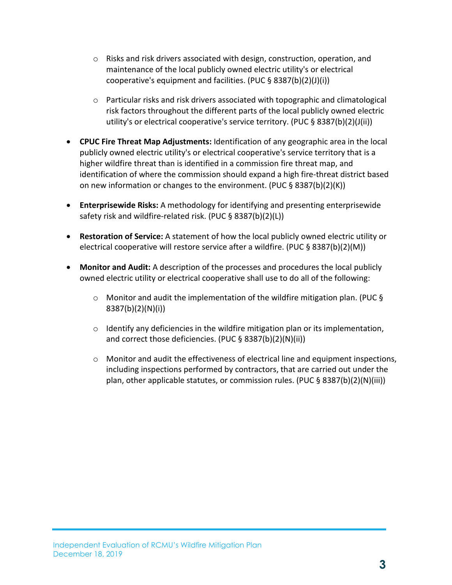- $\circ$  Risks and risk drivers associated with design, construction, operation, and maintenance of the local publicly owned electric utility's or electrical cooperative's equipment and facilities. (PUC § 8387(b)(2)(J)(i))
- o Particular risks and risk drivers associated with topographic and climatological risk factors throughout the different parts of the local publicly owned electric utility's or electrical cooperative's service territory. (PUC § 8387(b)(2)(J(ii))
- **CPUC Fire Threat Map Adjustments:** Identification of any geographic area in the local publicly owned electric utility's or electrical cooperative's service territory that is a higher wildfire threat than is identified in a commission fire threat map, and identification of where the commission should expand a high fire-threat district based on new information or changes to the environment. (PUC § 8387(b)(2)(K))
- **Enterprisewide Risks:** A methodology for identifying and presenting enterprisewide safety risk and wildfire-related risk. (PUC § 8387(b)(2)(L))
- **Restoration of Service:** A statement of how the local publicly owned electric utility or electrical cooperative will restore service after a wildfire. (PUC § 8387(b)(2)(M))
- **Monitor and Audit:** A description of the processes and procedures the local publicly owned electric utility or electrical cooperative shall use to do all of the following:
	- $\circ$  Monitor and audit the implementation of the wildfire mitigation plan. (PUC § 8387(b)(2)(N)(i))
	- o Identify any deficiencies in the wildfire mitigation plan or its implementation, and correct those deficiencies. (PUC § 8387(b)(2)(N)(ii))
	- $\circ$  Monitor and audit the effectiveness of electrical line and equipment inspections, including inspections performed by contractors, that are carried out under the plan, other applicable statutes, or commission rules. (PUC § 8387(b)(2)(N)(iii))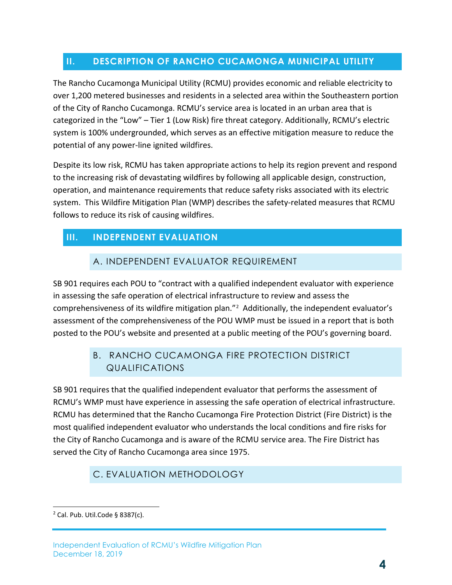#### <span id="page-20-0"></span>**II. DESCRIPTION OF RANCHO CUCAMONGA MUNICIPAL UTILITY**

The Rancho Cucamonga Municipal Utility (RCMU) provides economic and reliable electricity to over 1,200 metered businesses and residents in a selected area within the Southeastern portion of the City of Rancho Cucamonga. RCMU's service area is located in an urban area that is categorized in the "Low" – Tier 1 (Low Risk) fire threat category. Additionally, RCMU's electric system is 100% undergrounded, which serves as an effective mitigation measure to reduce the potential of any power-line ignited wildfires.

Despite its low risk, RCMU has taken appropriate actions to help its region prevent and respond to the increasing risk of devastating wildfires by following all applicable design, construction, operation, and maintenance requirements that reduce safety risks associated with its electric system. This Wildfire Mitigation Plan (WMP) describes the safety-related measures that RCMU follows to reduce its risk of causing wildfires.

#### <span id="page-20-2"></span><span id="page-20-1"></span>**III. INDEPENDENT EVALUATION**

#### A. INDEPENDENT EVALUATOR REQUIREMENT

SB 901 requires each POU to "contract with a qualified independent evaluator with experience in assessing the safe operation of electrical infrastructure to review and assess the comprehensiveness of its wildfire mitigation plan."<sup>[2](#page-20-5)</sup> Additionally, the independent evaluator's assessment of the comprehensiveness of the POU WMP must be issued in a report that is both posted to the POU's website and presented at a public meeting of the POU's governing board.

#### <span id="page-20-3"></span>B. RANCHO CUCAMONGA FIRE PROTECTION DISTRICT QUALIFICATIONS

SB 901 requires that the qualified independent evaluator that performs the assessment of RCMU's WMP must have experience in assessing the safe operation of electrical infrastructure. RCMU has determined that the Rancho Cucamonga Fire Protection District (Fire District) is the most qualified independent evaluator who understands the local conditions and fire risks for the City of Rancho Cucamonga and is aware of the RCMU service area. The Fire District has served the City of Rancho Cucamonga area since 1975.

#### C. EVALUATION METHODOLOGY

<span id="page-20-4"></span>-

<span id="page-20-5"></span> $2$  Cal. Pub. Util. Code § 8387(c).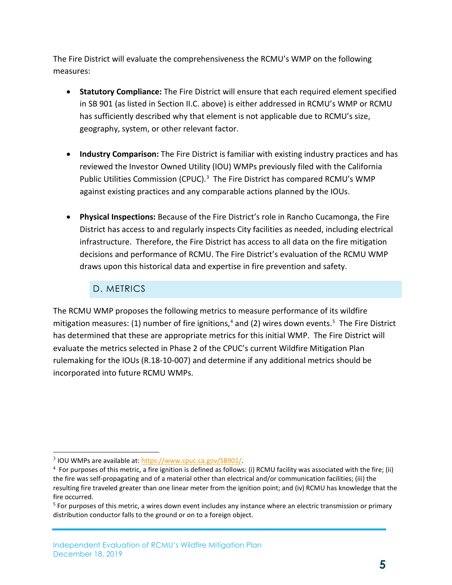The Fire District will evaluate the comprehensiveness the RCMU's WMP on the following measures:

- **Statutory Compliance:** The Fire District will ensure that each required element specified in SB 901 (as listed in Section II.C. above) is either addressed in RCMU's WMP or RCMU has sufficiently described why that element is not applicable due to RCMU's size, geography, system, or other relevant factor.
- **Industry Comparison:** The Fire District is familiar with existing industry practices and has reviewed the Investor Owned Utility (IOU) WMPs previously filed with the California Public Utilities Commission (CPUC). [3](#page-21-1) The Fire District has compared RCMU's WMP against existing practices and any comparable actions planned by the IOUs.
- **Physical Inspections:** Because of the Fire District's role in Rancho Cucamonga, the Fire District has access to and regularly inspects City facilities as needed, including electrical infrastructure. Therefore, the Fire District has access to all data on the fire mitigation decisions and performance of RCMU. The Fire District's evaluation of the RCMU WMP draws upon this historical data and expertise in fire prevention and safety.

#### D. METRICS

<span id="page-21-0"></span>The RCMU WMP proposes the following metrics to measure performance of its wildfire mitigation measures: (1) number of fire ignitions,<sup>[4](#page-21-2)</sup> and (2) wires down events.<sup>[5](#page-21-3)</sup> The Fire District has determined that these are appropriate metrics for this initial WMP. The Fire District will evaluate the metrics selected in Phase 2 of the CPUC's current Wildfire Mitigation Plan rulemaking for the IOUs (R.18-10-007) and determine if any additional metrics should be incorporated into future RCMU WMPs.

l

<span id="page-21-1"></span><sup>&</sup>lt;sup>3</sup> IOU WMPs are available at: https://www.cpuc.ca.gov/SB901/.

<span id="page-21-2"></span> $<sup>4</sup>$  For purposes of this metric, a fire ignition is defined as follows: (i) RCMU facility was associated with the fire; (ii)</sup> the fire was self-propagating and of a material other than electrical and/or communication facilities; (iii) the resulting fire traveled greater than one linear meter from the ignition point; and (iv) RCMU has knowledge that the fire occurred.

<span id="page-21-3"></span> $5$  For purposes of this metric, a wires down event includes any instance where an electric transmission or primary distribution conductor falls to the ground or on to a foreign object.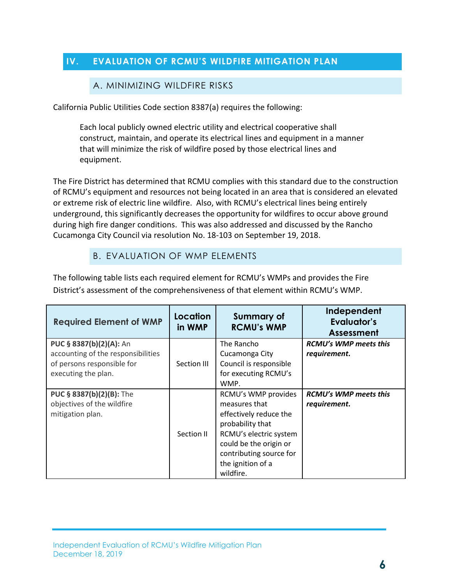#### <span id="page-22-1"></span><span id="page-22-0"></span>**IV. EVALUATION OF RCMU'S WILDFIRE MITIGATION PLAN**

#### A. MINIMIZING WILDFIRE RISKS

California Public Utilities Code section 8387(a) requires the following:

Each local publicly owned electric utility and electrical cooperative shall construct, maintain, and operate its electrical lines and equipment in a manner that will minimize the risk of wildfire posed by those electrical lines and equipment.

The Fire District has determined that RCMU complies with this standard due to the construction of RCMU's equipment and resources not being located in an area that is considered an elevated or extreme risk of electric line wildfire. Also, with RCMU's electrical lines being entirely underground, this significantly decreases the opportunity for wildfires to occur above ground during high fire danger conditions. This was also addressed and discussed by the Rancho Cucamonga City Council via resolution No. 18-103 on September 19, 2018.

#### B. EVALUATION OF WMP ELEMENTS

<span id="page-22-2"></span>The following table lists each required element for RCMU's WMPs and provides the Fire District's assessment of the comprehensiveness of that element within RCMU's WMP.

| <b>Required Element of WMP</b>                                                                                     | Location<br>in WMP | <b>Summary of</b><br><b>RCMU's WMP</b>                                                                                                                                                              | Independent<br>Evaluator's<br>Assessment     |
|--------------------------------------------------------------------------------------------------------------------|--------------------|-----------------------------------------------------------------------------------------------------------------------------------------------------------------------------------------------------|----------------------------------------------|
| PUC § 8387(b)(2)(A): An<br>accounting of the responsibilities<br>of persons responsible for<br>executing the plan. | Section III        | The Rancho<br>Cucamonga City<br>Council is responsible<br>for executing RCMU's<br>WMP.                                                                                                              | <b>RCMU's WMP meets this</b><br>requirement. |
| PUC § 8387(b)(2)(B): The<br>objectives of the wildfire<br>mitigation plan.                                         | Section II         | RCMU's WMP provides<br>measures that<br>effectively reduce the<br>probability that<br>RCMU's electric system<br>could be the origin or<br>contributing source for<br>the ignition of a<br>wildfire. | <b>RCMU's WMP meets this</b><br>requirement. |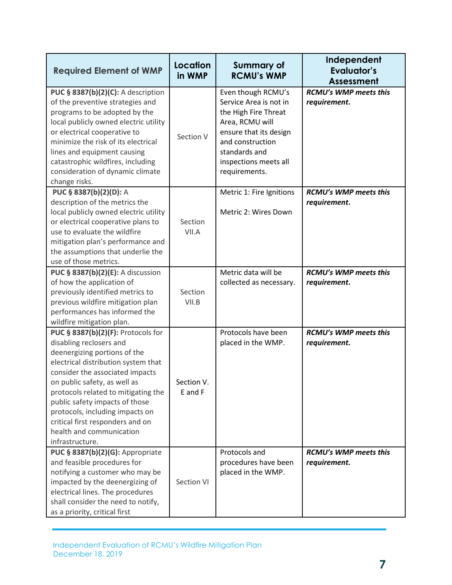| <b>Required Element of WMP</b>                                                                                                                                                                                                                                                                                                                                                                         | <b>Location</b><br>in WMP | <b>Summary of</b><br><b>RCMU's WMP</b>                                                                                                                                                           | Independent<br><b>Evaluator's</b><br><b>Assessment</b> |
|--------------------------------------------------------------------------------------------------------------------------------------------------------------------------------------------------------------------------------------------------------------------------------------------------------------------------------------------------------------------------------------------------------|---------------------------|--------------------------------------------------------------------------------------------------------------------------------------------------------------------------------------------------|--------------------------------------------------------|
| PUC § 8387(b)(2)(C): A description<br>of the preventive strategies and<br>programs to be adopted by the<br>local publicly owned electric utility<br>or electrical cooperative to<br>minimize the risk of its electrical<br>lines and equipment causing<br>catastrophic wildfires, including<br>consideration of dynamic climate<br>change risks.                                                       | Section V                 | Even though RCMU's<br>Service Area is not in<br>the High Fire Threat<br>Area, RCMU will<br>ensure that its design<br>and construction<br>standards and<br>inspections meets all<br>requirements. | <b>RCMU's WMP meets this</b><br>requirement.           |
| PUC § 8387(b)(2)(D): A<br>description of the metrics the<br>local publicly owned electric utility<br>or electrical cooperative plans to<br>use to evaluate the wildfire<br>mitigation plan's performance and<br>the assumptions that underlie the<br>use of those metrics.                                                                                                                             | Section<br>VII.A          | Metric 1: Fire Ignitions<br>Metric 2: Wires Down                                                                                                                                                 | RCMU's WMP meets this<br>requirement.                  |
| PUC § 8387(b)(2)(E): A discussion<br>of how the application of<br>previously identified metrics to<br>previous wildfire mitigation plan<br>performances has informed the<br>wildfire mitigation plan.                                                                                                                                                                                                  | Section<br>VII.B          | Metric data will be<br>collected as necessary.                                                                                                                                                   | <b>RCMU's WMP meets this</b><br>requirement.           |
| PUC § 8387(b)(2)(F): Protocols for<br>disabling reclosers and<br>deenergizing portions of the<br>electrical distribution system that<br>consider the associated impacts<br>on public safety, as well as<br>protocols related to mitigating the<br>public safety impacts of those<br>protocols, including impacts on<br>critical first responders and on<br>health and communication<br>infrastructure. | Section V.<br>E and F     | Protocols have been<br>placed in the WMP.                                                                                                                                                        | <b>RCMU's WMP meets this</b><br>requirement.           |
| PUC § 8387(b)(2)(G): Appropriate<br>and feasible procedures for<br>notifying a customer who may be<br>impacted by the deenergizing of<br>electrical lines. The procedures<br>shall consider the need to notify,<br>as a priority, critical first                                                                                                                                                       | Section VI                | Protocols and<br>procedures have been<br>placed in the WMP.                                                                                                                                      | <b>RCMU's WMP meets this</b><br>requirement.           |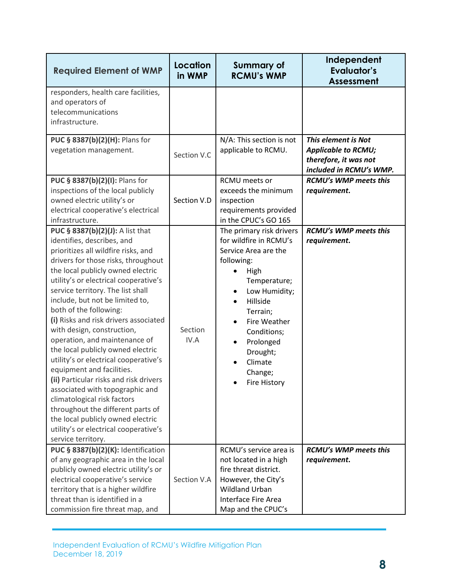| <b>Required Element of WMP</b>                                                                                                                                                                                                                                                                                                                                                                                                                                                                                                                                                                                                                                                                                                                                                                       | Location<br>in WMP | <b>Summary of</b><br><b>RCMU's WMP</b>                                                                                                                                                                                                                                      | Independent<br><b>Evaluator's</b><br><b>Assessment</b>                                                |
|------------------------------------------------------------------------------------------------------------------------------------------------------------------------------------------------------------------------------------------------------------------------------------------------------------------------------------------------------------------------------------------------------------------------------------------------------------------------------------------------------------------------------------------------------------------------------------------------------------------------------------------------------------------------------------------------------------------------------------------------------------------------------------------------------|--------------------|-----------------------------------------------------------------------------------------------------------------------------------------------------------------------------------------------------------------------------------------------------------------------------|-------------------------------------------------------------------------------------------------------|
| responders, health care facilities,<br>and operators of<br>telecommunications<br>infrastructure.                                                                                                                                                                                                                                                                                                                                                                                                                                                                                                                                                                                                                                                                                                     |                    |                                                                                                                                                                                                                                                                             |                                                                                                       |
| PUC § 8387(b)(2)(H): Plans for<br>vegetation management.                                                                                                                                                                                                                                                                                                                                                                                                                                                                                                                                                                                                                                                                                                                                             | Section V.C        | N/A: This section is not<br>applicable to RCMU.                                                                                                                                                                                                                             | This element is Not<br><b>Applicable to RCMU;</b><br>therefore, it was not<br>included in RCMU's WMP. |
| PUC § 8387(b)(2)(I): Plans for<br>inspections of the local publicly<br>owned electric utility's or<br>electrical cooperative's electrical<br>infrastructure.                                                                                                                                                                                                                                                                                                                                                                                                                                                                                                                                                                                                                                         | Section V.D        | RCMU meets or<br>exceeds the minimum<br>inspection<br>requirements provided<br>in the CPUC's GO 165                                                                                                                                                                         | <b>RCMU's WMP meets this</b><br>requirement.                                                          |
| PUC § 8387(b)(2)(J): A list that<br>identifies, describes, and<br>prioritizes all wildfire risks, and<br>drivers for those risks, throughout<br>the local publicly owned electric<br>utility's or electrical cooperative's<br>service territory. The list shall<br>include, but not be limited to,<br>both of the following:<br>(i) Risks and risk drivers associated<br>with design, construction,<br>operation, and maintenance of<br>the local publicly owned electric<br>utility's or electrical cooperative's<br>equipment and facilities.<br>(ii) Particular risks and risk drivers<br>associated with topographic and<br>climatological risk factors<br>throughout the different parts of<br>the local publicly owned electric<br>utility's or electrical cooperative's<br>service territory. | Section<br>IV.A    | The primary risk drivers<br>for wildfire in RCMU's<br>Service Area are the<br>following:<br>High<br>Temperature;<br>Low Humidity;<br>Hillside<br>Terrain;<br>Fire Weather<br>Conditions;<br>Prolonged<br>$\bullet$<br>Drought;<br>Climate<br>Change;<br><b>Fire History</b> | <b>RCMU's WMP meets this</b><br>requirement.                                                          |
| PUC § 8387(b)(2)(K): Identification<br>of any geographic area in the local<br>publicly owned electric utility's or<br>electrical cooperative's service<br>territory that is a higher wildfire<br>threat than is identified in a<br>commission fire threat map, and                                                                                                                                                                                                                                                                                                                                                                                                                                                                                                                                   | Section V.A        | RCMU's service area is<br>not located in a high<br>fire threat district.<br>However, the City's<br><b>Wildland Urban</b><br><b>Interface Fire Area</b><br>Map and the CPUC's                                                                                                | <b>RCMU's WMP meets this</b><br>requirement.                                                          |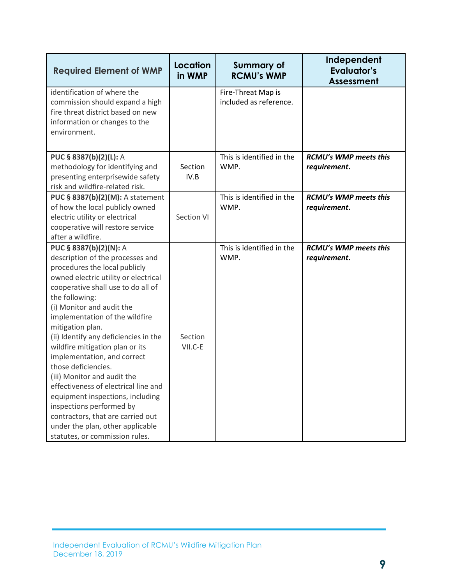| <b>Required Element of WMP</b>                                                                                                                                                                                                                                                                                                                                                                                                                                                                                                                                                                                                                                     | Location<br>in WMP | <b>Summary of</b><br><b>RCMU's WMP</b>       | Independent<br><b>Evaluator's</b><br><b>Assessment</b> |
|--------------------------------------------------------------------------------------------------------------------------------------------------------------------------------------------------------------------------------------------------------------------------------------------------------------------------------------------------------------------------------------------------------------------------------------------------------------------------------------------------------------------------------------------------------------------------------------------------------------------------------------------------------------------|--------------------|----------------------------------------------|--------------------------------------------------------|
| identification of where the<br>commission should expand a high<br>fire threat district based on new<br>information or changes to the<br>environment.                                                                                                                                                                                                                                                                                                                                                                                                                                                                                                               |                    | Fire-Threat Map is<br>included as reference. |                                                        |
| PUC § 8387(b)(2)(L): A<br>methodology for identifying and<br>presenting enterprisewide safety<br>risk and wildfire-related risk.                                                                                                                                                                                                                                                                                                                                                                                                                                                                                                                                   | Section<br>IV.B    | This is identified in the<br>WMP.            | <b>RCMU's WMP meets this</b><br>requirement.           |
| PUC § 8387(b)(2)(M): A statement<br>of how the local publicly owned<br>electric utility or electrical<br>cooperative will restore service<br>after a wildfire.                                                                                                                                                                                                                                                                                                                                                                                                                                                                                                     | Section VI         | This is identified in the<br>WMP.            | RCMU's WMP meets this<br>requirement.                  |
| PUC § 8387(b)(2)(N): A<br>description of the processes and<br>procedures the local publicly<br>owned electric utility or electrical<br>cooperative shall use to do all of<br>the following:<br>(i) Monitor and audit the<br>implementation of the wildfire<br>mitigation plan.<br>(ii) Identify any deficiencies in the<br>wildfire mitigation plan or its<br>implementation, and correct<br>those deficiencies.<br>(iii) Monitor and audit the<br>effectiveness of electrical line and<br>equipment inspections, including<br>inspections performed by<br>contractors, that are carried out<br>under the plan, other applicable<br>statutes, or commission rules. | Section<br>VII.C-E | This is identified in the<br>WMP.            | <b>RCMU's WMP meets this</b><br>requirement.           |